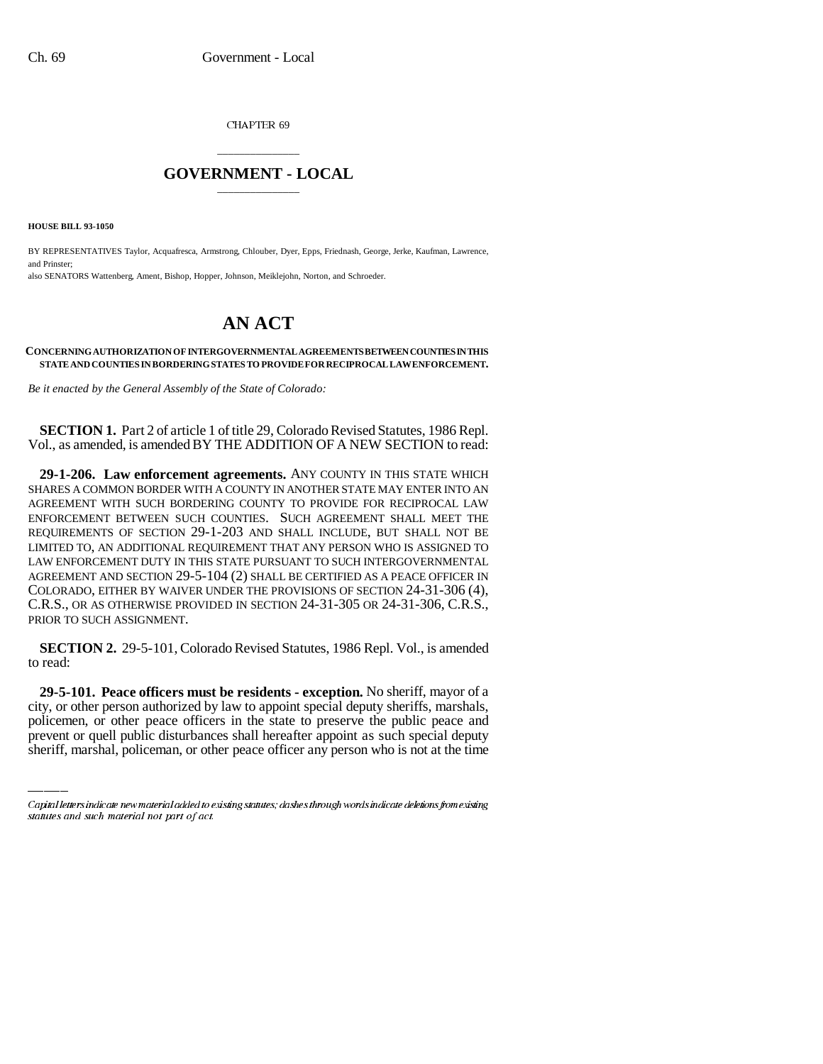CHAPTER 69

## \_\_\_\_\_\_\_\_\_\_\_\_\_\_\_ **GOVERNMENT - LOCAL** \_\_\_\_\_\_\_\_\_\_\_\_\_\_\_

**HOUSE BILL 93-1050**

BY REPRESENTATIVES Taylor, Acquafresca, Armstrong, Chlouber, Dyer, Epps, Friednash, George, Jerke, Kaufman, Lawrence, and Prinster; also SENATORS Wattenberg, Ament, Bishop, Hopper, Johnson, Meiklejohn, Norton, and Schroeder.

## **AN ACT**

## **CONCERNING AUTHORIZATION OF INTERGOVERNMENTAL AGREEMENTS BETWEEN COUNTIES IN THIS STATE AND COUNTIES IN BORDERING STATES TO PROVIDE FOR RECIPROCAL LAW ENFORCEMENT.**

*Be it enacted by the General Assembly of the State of Colorado:*

**SECTION 1.** Part 2 of article 1 of title 29, Colorado Revised Statutes, 1986 Repl. Vol., as amended, is amended BY THE ADDITION OF A NEW SECTION to read:

**29-1-206. Law enforcement agreements.** ANY COUNTY IN THIS STATE WHICH SHARES A COMMON BORDER WITH A COUNTY IN ANOTHER STATE MAY ENTER INTO AN AGREEMENT WITH SUCH BORDERING COUNTY TO PROVIDE FOR RECIPROCAL LAW ENFORCEMENT BETWEEN SUCH COUNTIES. SUCH AGREEMENT SHALL MEET THE REQUIREMENTS OF SECTION 29-1-203 AND SHALL INCLUDE, BUT SHALL NOT BE LIMITED TO, AN ADDITIONAL REQUIREMENT THAT ANY PERSON WHO IS ASSIGNED TO LAW ENFORCEMENT DUTY IN THIS STATE PURSUANT TO SUCH INTERGOVERNMENTAL AGREEMENT AND SECTION 29-5-104 (2) SHALL BE CERTIFIED AS A PEACE OFFICER IN COLORADO, EITHER BY WAIVER UNDER THE PROVISIONS OF SECTION 24-31-306 (4), C.R.S., OR AS OTHERWISE PROVIDED IN SECTION 24-31-305 OR 24-31-306, C.R.S., PRIOR TO SUCH ASSIGNMENT.

**SECTION 2.** 29-5-101, Colorado Revised Statutes, 1986 Repl. Vol., is amended to read:

 **29-5-101. Peace officers must be residents - exception.** No sheriff, mayor of a city, or other person authorized by law to appoint special deputy sheriffs, marshals, policemen, or other peace officers in the state to preserve the public peace and prevent or quell public disturbances shall hereafter appoint as such special deputy sheriff, marshal, policeman, or other peace officer any person who is not at the time

Capital letters indicate new material added to existing statutes; dashes through words indicate deletions from existing statutes and such material not part of act.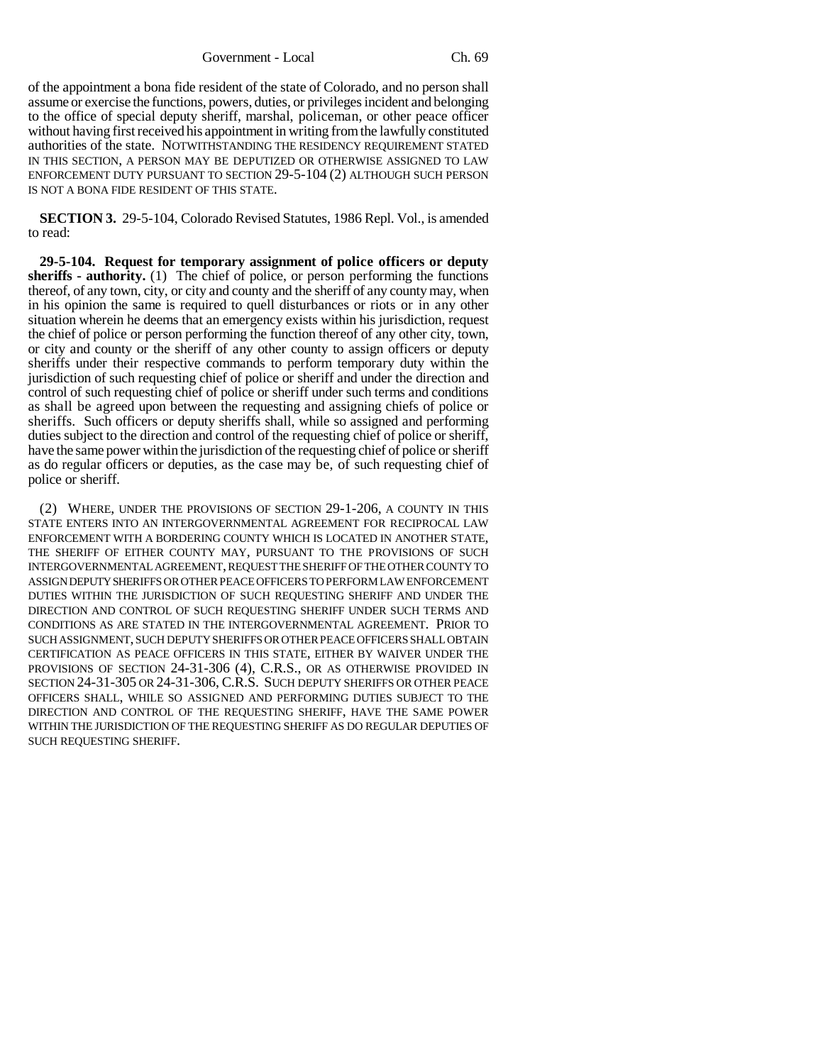Government - Local Ch. 69

of the appointment a bona fide resident of the state of Colorado, and no person shall assume or exercise the functions, powers, duties, or privileges incident and belonging to the office of special deputy sheriff, marshal, policeman, or other peace officer without having first received his appointment in writing from the lawfully constituted authorities of the state. NOTWITHSTANDING THE RESIDENCY REQUIREMENT STATED IN THIS SECTION, A PERSON MAY BE DEPUTIZED OR OTHERWISE ASSIGNED TO LAW ENFORCEMENT DUTY PURSUANT TO SECTION 29-5-104 (2) ALTHOUGH SUCH PERSON IS NOT A BONA FIDE RESIDENT OF THIS STATE.

**SECTION 3.** 29-5-104, Colorado Revised Statutes, 1986 Repl. Vol., is amended to read:

**29-5-104. Request for temporary assignment of police officers or deputy sheriffs - authority.** (1) The chief of police, or person performing the functions thereof, of any town, city, or city and county and the sheriff of any county may, when in his opinion the same is required to quell disturbances or riots or in any other situation wherein he deems that an emergency exists within his jurisdiction, request the chief of police or person performing the function thereof of any other city, town, or city and county or the sheriff of any other county to assign officers or deputy sheriffs under their respective commands to perform temporary duty within the jurisdiction of such requesting chief of police or sheriff and under the direction and control of such requesting chief of police or sheriff under such terms and conditions as shall be agreed upon between the requesting and assigning chiefs of police or sheriffs. Such officers or deputy sheriffs shall, while so assigned and performing duties subject to the direction and control of the requesting chief of police or sheriff, have the same power within the jurisdiction of the requesting chief of police or sheriff as do regular officers or deputies, as the case may be, of such requesting chief of police or sheriff.

(2) WHERE, UNDER THE PROVISIONS OF SECTION 29-1-206, A COUNTY IN THIS STATE ENTERS INTO AN INTERGOVERNMENTAL AGREEMENT FOR RECIPROCAL LAW ENFORCEMENT WITH A BORDERING COUNTY WHICH IS LOCATED IN ANOTHER STATE, THE SHERIFF OF EITHER COUNTY MAY, PURSUANT TO THE PROVISIONS OF SUCH INTERGOVERNMENTAL AGREEMENT, REQUEST THE SHERIFF OF THE OTHER COUNTY TO ASSIGN DEPUTY SHERIFFS OR OTHER PEACE OFFICERS TO PERFORM LAW ENFORCEMENT DUTIES WITHIN THE JURISDICTION OF SUCH REQUESTING SHERIFF AND UNDER THE DIRECTION AND CONTROL OF SUCH REQUESTING SHERIFF UNDER SUCH TERMS AND CONDITIONS AS ARE STATED IN THE INTERGOVERNMENTAL AGREEMENT. PRIOR TO SUCH ASSIGNMENT, SUCH DEPUTY SHERIFFS OR OTHER PEACE OFFICERS SHALL OBTAIN CERTIFICATION AS PEACE OFFICERS IN THIS STATE, EITHER BY WAIVER UNDER THE PROVISIONS OF SECTION 24-31-306 (4), C.R.S., OR AS OTHERWISE PROVIDED IN SECTION 24-31-305 OR 24-31-306, C.R.S. SUCH DEPUTY SHERIFFS OR OTHER PEACE OFFICERS SHALL, WHILE SO ASSIGNED AND PERFORMING DUTIES SUBJECT TO THE DIRECTION AND CONTROL OF THE REQUESTING SHERIFF, HAVE THE SAME POWER WITHIN THE JURISDICTION OF THE REQUESTING SHERIFF AS DO REGULAR DEPUTIES OF SUCH REQUESTING SHERIFF.